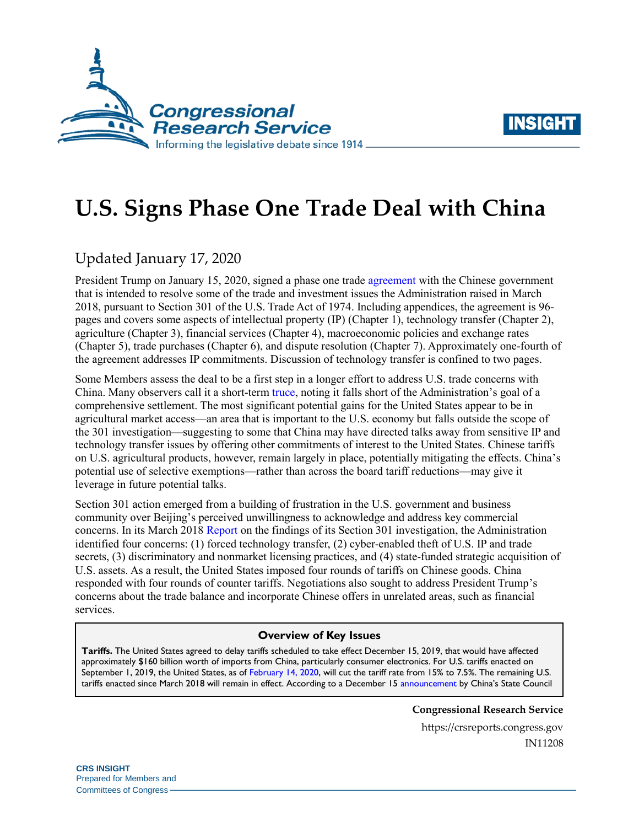



# **U.S. Signs Phase One Trade Deal with China**

## Updated January 17, 2020

President Trump on January 15, 2020, signed a phase one trade [agreement](https://ustr.gov/countries-regions/china-mongolia-taiwan/peoples-republic-china/phase-one-trade-agreement/text) with the Chinese government that is intended to resolve some of the trade and investment issues the Administration raised in March 2018, pursuant to Section 301 of the U.S. Trade Act of 1974. Including appendices, the agreement is 96 pages and covers some aspects of intellectual property (IP) (Chapter 1), technology transfer (Chapter 2), agriculture (Chapter 3), financial services (Chapter 4), macroeconomic policies and exchange rates (Chapter 5), trade purchases (Chapter 6), and dispute resolution (Chapter 7). Approximately one-fourth of the agreement addresses IP commitments. Discussion of technology transfer is confined to two pages.

Some Members assess the deal to be a first step in a longer effort to address U.S. trade concerns with China. Many observers call it a short-term [truce,](https://www.washingtonpost.com/business/2019/12/12/trump-says-trade-deal-with-china-is-very-close-just-days-ahead-tariff-deadline/) noting it falls short of the Administration's goal of a comprehensive settlement. The most significant potential gains for the United States appear to be in agricultural market access—an area that is important to the U.S. economy but falls outside the scope of the 301 investigation—suggesting to some that China may have directed talks away from sensitive IP and technology transfer issues by offering other commitments of interest to the United States. Chinese tariffs on U.S. agricultural products, however, remain largely in place, potentially mitigating the effects. China's potential use of selective exemptions—rather than across the board tariff reductions—may give it leverage in future potential talks.

Section 301 action emerged from a building of frustration in the U.S. government and business community over Beijing's perceived unwillingness to acknowledge and address key commercial concerns. In its March 2018 [Report](https://ustr.gov/sites/default/files/Section%20301%20FINAL.PDF) on the findings of its Section 301 investigation, the Administration identified four concerns: (1) forced technology transfer, (2) cyber-enabled theft of U.S. IP and trade secrets, (3) discriminatory and nonmarket licensing practices, and (4) state-funded strategic acquisition of U.S. assets. As a result, the United States imposed four rounds of tariffs on Chinese goods. China responded with four rounds of counter tariffs. Negotiations also sought to address President Trump's concerns about the trade balance and incorporate Chinese offers in unrelated areas, such as financial services.

#### **Overview of Key Issues**

**Tariffs.** The United States agreed to delay tariffs scheduled to take effect December 15, 2019, that would have affected approximately \$160 billion worth of imports from China, particularly consumer electronics. For U.S. tariffs enacted on September 1, 2019, the United States, as of [February 14, 2020,](https://ustr.gov/sites/default/files/enforcement/301Investigations/Notice_of_Modification-January_2020.pdf) will cut the tariff rate from 15% to 7.5%. The remaining U.S. tariffs enacted since March 2018 will remain in effect. According to a December 15 [announcement](http://gss.mof.gov.cn/zhengwuxinxi/zhengcefabu/201912/t20191215_3441954.html) by China's State Council

**Congressional Research Service**

https://crsreports.congress.gov IN11208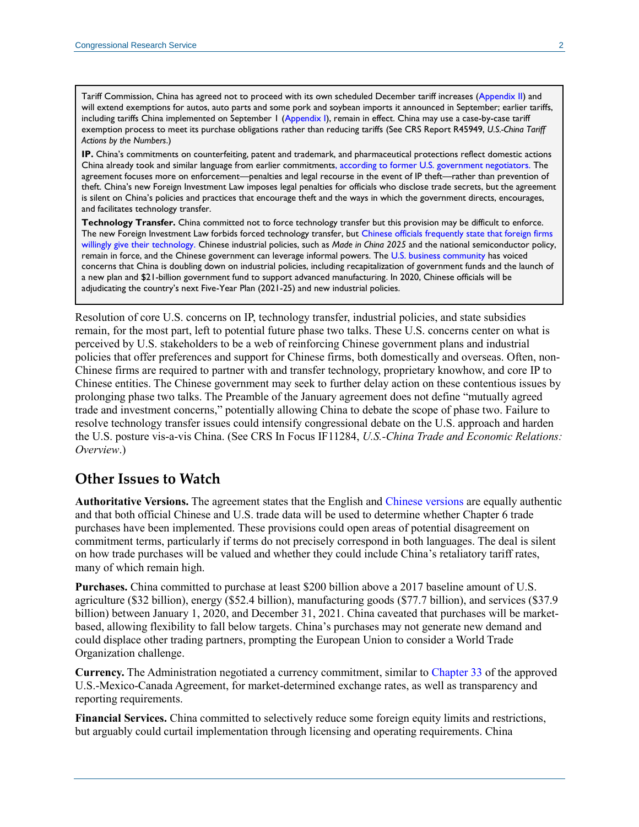Tariff Commission, China has agreed not to proceed with its own scheduled December tariff increases [\(Appendix II\)](http://gss.mof.gov.cn/zhengwuxinxi/zhengcefabu/201908/P020190823604939266141.pdf) and will extend exemptions for autos, auto parts and some pork and soybean imports it announced in September; earlier tariffs, including tariffs China implemented on September 1 [\(Appendix I\)](http://gss.mof.gov.cn/zhengwuxinxi/zhengcefabu/201908/P020190823604938915640.pdf), remain in effect. China may use a case-by-case tariff exemption process to meet its purchase obligations rather than reducing tariffs (See CRS Report R45949, *[U.S.-China Tariff](https://crsreports.congress.gov/product/pdf/R/R45949)  [Actions by the Numbers](https://crsreports.congress.gov/product/pdf/R/R45949)*.)

**IP.** China's commitments on counterfeiting, patent and trademark, and pharmaceutical protections reflect domestic actions China already took and similar language from earlier commitment[s, according to former U.S. government negotiators.](https://www.washingtonpost.com/business/economy/trumps-new-china-deal-cements-emergence-of-managed-trade/2020/01/15/7892c446-372b-11ea-bf30-ad313e4ec754_story.html) The agreement focuses more on enforcement—penalties and legal recourse in the event of IP theft—rather than prevention of theft. China's new Foreign Investment Law imposes legal penalties for officials who disclose trade secrets, but the agreement is silent on China's policies and practices that encourage theft and the ways in which the government directs, encourages, and facilitates technology transfer.

**Technology Transfer.** China committed not to force technology transfer but this provision may be difficult to enforce. The new Foreign Investment Law forbids forced technology transfer, but [Chinese officials frequently state that foreign firms](https://www.nytimes.com/2020/01/15/business/china-technology-transfer.html)  [willingly give their technology.](https://www.nytimes.com/2020/01/15/business/china-technology-transfer.html) Chinese industrial policies, such as *Made in China 2025* and the national semiconductor policy, remain in force, and the Chinese government can leverage informal powers. The [U.S. business community](https://www.reuters.com/article/us-usa-trade-china/u-s-firms-no-longer-positive-anchor-for-beijing-ties-amcham-in-china-idUSKCN1RT0CA) has voiced concerns that China is doubling down on industrial policies, including recapitalization of government funds and the launch of a new plan and \$21-billion government fund to support advanced manufacturing. In 2020, Chinese officials will be adjudicating the country's next Five-Year Plan (2021-25) and new industrial policies.

Resolution of core U.S. concerns on IP, technology transfer, industrial policies, and state subsidies remain, for the most part, left to potential future phase two talks. These U.S. concerns center on what is perceived by U.S. stakeholders to be a web of reinforcing Chinese government plans and industrial policies that offer preferences and support for Chinese firms, both domestically and overseas. Often, non-Chinese firms are required to partner with and transfer technology, proprietary knowhow, and core IP to Chinese entities. The Chinese government may seek to further delay action on these contentious issues by prolonging phase two talks. The Preamble of the January agreement does not define "mutually agreed trade and investment concerns," potentially allowing China to debate the scope of phase two. Failure to resolve technology transfer issues could intensify congressional debate on the U.S. approach and harden the U.S. posture vis-a-vis China. (See CRS In Focus IF11284, *[U.S.-China Trade and Economic Relations:](https://crsreports.congress.gov/product/pdf/IF/IF11284)  [Overview](https://crsreports.congress.gov/product/pdf/IF/IF11284)*.)

#### **Other Issues to Watch**

**Authoritative Versions.** The agreement states that the English and [Chinese versions](http://images.mofcom.gov.cn/www/202001/20200116104122611.pdf) are equally authentic and that both official Chinese and U.S. trade data will be used to determine whether Chapter 6 trade purchases have been implemented. These provisions could open areas of potential disagreement on commitment terms, particularly if terms do not precisely correspond in both languages. The deal is silent on how trade purchases will be valued and whether they could include China's retaliatory tariff rates, many of which remain high.

**Purchases.** China committed to purchase at least \$200 billion above a 2017 baseline amount of U.S. agriculture (\$32 billion), energy (\$52.4 billion), manufacturing goods (\$77.7 billion), and services (\$37.9 billion) between January 1, 2020, and December 31, 2021. China caveated that purchases will be marketbased, allowing flexibility to fall below targets. China's purchases may not generate new demand and could displace other trading partners, prompting the European Union to consider a World Trade Organization challenge.

**Currency.** The Administration negotiated a currency commitment, similar to [Chapter 33](https://ustr.gov/sites/default/files/files/agreements/FTA/USMCA/Text/33_Macroeconomic_Policies_and_Exchange_Rate_Matters.pdf) of the approved U.S.-Mexico-Canada Agreement, for market-determined exchange rates, as well as transparency and reporting requirements.

**Financial Services.** China committed to selectively reduce some foreign equity limits and restrictions, but arguably could curtail implementation through licensing and operating requirements. China